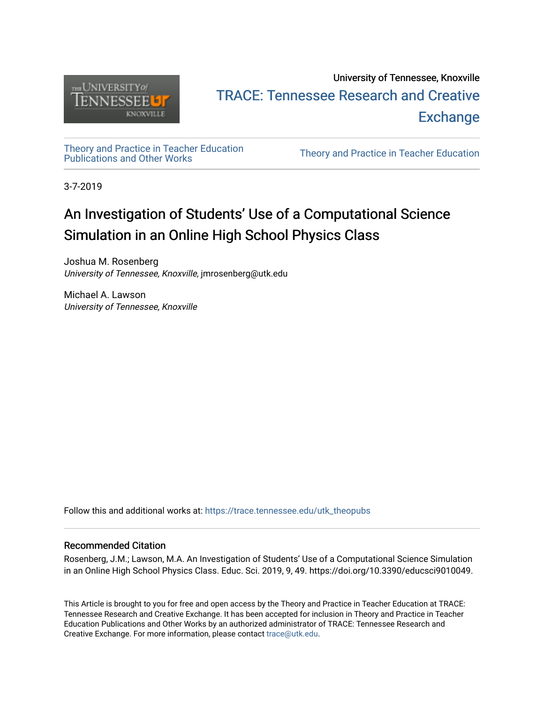

## University of Tennessee, Knoxville TRACE: T[ennessee Research and Cr](https://trace.tennessee.edu/)eative **Exchange**

# [Theory and Practice in Teacher Education](https://trace.tennessee.edu/utk_theopubs)

Theory and Practice in Teacher Education

3-7-2019

## An Investigation of Students' Use of a Computational Science Simulation in an Online High School Physics Class

Joshua M. Rosenberg University of Tennessee, Knoxville, jmrosenberg@utk.edu

Michael A. Lawson University of Tennessee, Knoxville

Follow this and additional works at: [https://trace.tennessee.edu/utk\\_theopubs](https://trace.tennessee.edu/utk_theopubs?utm_source=trace.tennessee.edu%2Futk_theopubs%2F21&utm_medium=PDF&utm_campaign=PDFCoverPages)

### Recommended Citation

Rosenberg, J.M.; Lawson, M.A. An Investigation of Students' Use of a Computational Science Simulation in an Online High School Physics Class. Educ. Sci. 2019, 9, 49. https://doi.org/10.3390/educsci9010049.

This Article is brought to you for free and open access by the Theory and Practice in Teacher Education at TRACE: Tennessee Research and Creative Exchange. It has been accepted for inclusion in Theory and Practice in Teacher Education Publications and Other Works by an authorized administrator of TRACE: Tennessee Research and Creative Exchange. For more information, please contact [trace@utk.edu](mailto:trace@utk.edu).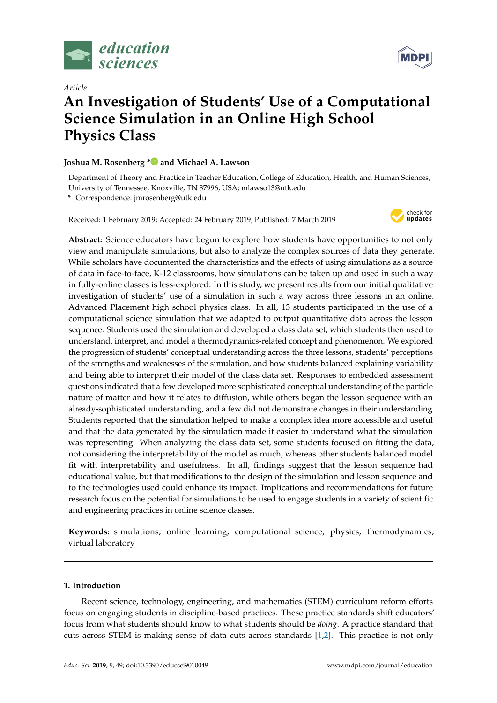

*Article*



## **An Investigation of Students' Use of a Computational Science Simulation in an Online High School Physics Class**

### **Joshua M. Rosenberg [\\*](https://orcid.org/0000-0003-2170-0447) and Michael A. Lawson**

Department of Theory and Practice in Teacher Education, College of Education, Health, and Human Sciences, University of Tennessee, Knoxville, TN 37996, USA; mlawso13@utk.edu

**\*** Correspondence: jmrosenberg@utk.edu

Received: 1 February 2019; Accepted: 24 February 2019; Published: 7 March 2019



**Abstract:** Science educators have begun to explore how students have opportunities to not only view and manipulate simulations, but also to analyze the complex sources of data they generate. While scholars have documented the characteristics and the effects of using simulations as a source of data in face-to-face, K-12 classrooms, how simulations can be taken up and used in such a way in fully-online classes is less-explored. In this study, we present results from our initial qualitative investigation of students' use of a simulation in such a way across three lessons in an online, Advanced Placement high school physics class. In all, 13 students participated in the use of a computational science simulation that we adapted to output quantitative data across the lesson sequence. Students used the simulation and developed a class data set, which students then used to understand, interpret, and model a thermodynamics-related concept and phenomenon. We explored the progression of students' conceptual understanding across the three lessons, students' perceptions of the strengths and weaknesses of the simulation, and how students balanced explaining variability and being able to interpret their model of the class data set. Responses to embedded assessment questions indicated that a few developed more sophisticated conceptual understanding of the particle nature of matter and how it relates to diffusion, while others began the lesson sequence with an already-sophisticated understanding, and a few did not demonstrate changes in their understanding. Students reported that the simulation helped to make a complex idea more accessible and useful and that the data generated by the simulation made it easier to understand what the simulation was representing. When analyzing the class data set, some students focused on fitting the data, not considering the interpretability of the model as much, whereas other students balanced model fit with interpretability and usefulness. In all, findings suggest that the lesson sequence had educational value, but that modifications to the design of the simulation and lesson sequence and to the technologies used could enhance its impact. Implications and recommendations for future research focus on the potential for simulations to be used to engage students in a variety of scientific and engineering practices in online science classes.

**Keywords:** simulations; online learning; computational science; physics; thermodynamics; virtual laboratory

#### **1. Introduction**

Recent science, technology, engineering, and mathematics (STEM) curriculum reform efforts focus on engaging students in discipline-based practices. These practice standards shift educators' focus from what students should know to what students should be *doing*. A practice standard that cuts across STEM is making sense of data cuts across standards [\[1](#page-16-0)[,2\]](#page-16-1). This practice is not only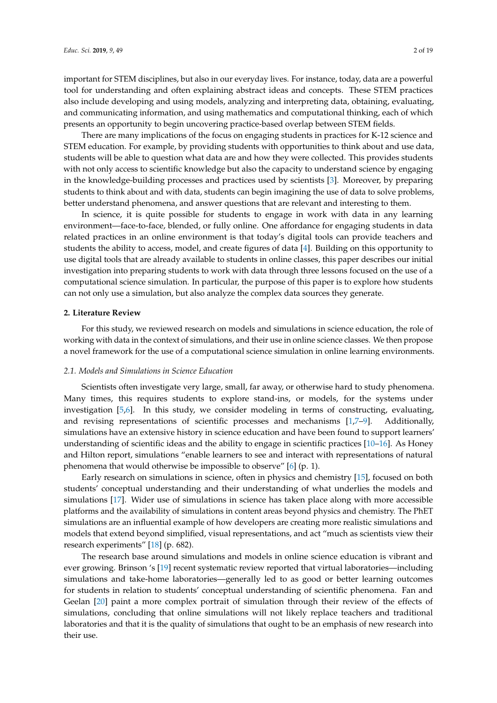important for STEM disciplines, but also in our everyday lives. For instance, today, data are a powerful tool for understanding and often explaining abstract ideas and concepts. These STEM practices also include developing and using models, analyzing and interpreting data, obtaining, evaluating, and communicating information, and using mathematics and computational thinking, each of which presents an opportunity to begin uncovering practice-based overlap between STEM fields.

There are many implications of the focus on engaging students in practices for K-12 science and STEM education. For example, by providing students with opportunities to think about and use data, students will be able to question what data are and how they were collected. This provides students with not only access to scientific knowledge but also the capacity to understand science by engaging in the knowledge-building processes and practices used by scientists [\[3\]](#page-17-0). Moreover, by preparing students to think about and with data, students can begin imagining the use of data to solve problems, better understand phenomena, and answer questions that are relevant and interesting to them.

In science, it is quite possible for students to engage in work with data in any learning environment—face-to-face, blended, or fully online. One affordance for engaging students in data related practices in an online environment is that today's digital tools can provide teachers and students the ability to access, model, and create figures of data [\[4\]](#page-17-1). Building on this opportunity to use digital tools that are already available to students in online classes, this paper describes our initial investigation into preparing students to work with data through three lessons focused on the use of a computational science simulation. In particular, the purpose of this paper is to explore how students can not only use a simulation, but also analyze the complex data sources they generate.

#### **2. Literature Review**

For this study, we reviewed research on models and simulations in science education, the role of working with data in the context of simulations, and their use in online science classes. We then propose a novel framework for the use of a computational science simulation in online learning environments.

#### *2.1. Models and Simulations in Science Education*

Scientists often investigate very large, small, far away, or otherwise hard to study phenomena. Many times, this requires students to explore stand-ins, or models, for the systems under investigation [\[5,](#page-17-2)[6\]](#page-17-3). In this study, we consider modeling in terms of constructing, evaluating, and revising representations of scientific processes and mechanisms [\[1,](#page-16-0)[7](#page-17-4)[–9\]](#page-17-5). Additionally, simulations have an extensive history in science education and have been found to support learners' understanding of scientific ideas and the ability to engage in scientific practices  $[10-16]$  $[10-16]$ . As Honey and Hilton report, simulations "enable learners to see and interact with representations of natural phenomena that would otherwise be impossible to observe" [\[6\]](#page-17-3) (p. 1).

Early research on simulations in science, often in physics and chemistry [\[15\]](#page-17-8), focused on both students' conceptual understanding and their understanding of what underlies the models and simulations [\[17\]](#page-17-9). Wider use of simulations in science has taken place along with more accessible platforms and the availability of simulations in content areas beyond physics and chemistry. The PhET simulations are an influential example of how developers are creating more realistic simulations and models that extend beyond simplified, visual representations, and act "much as scientists view their research experiments" [\[18\]](#page-17-10) (p. 682).

The research base around simulations and models in online science education is vibrant and ever growing. Brinson 's [\[19\]](#page-17-11) recent systematic review reported that virtual laboratories—including simulations and take-home laboratories—generally led to as good or better learning outcomes for students in relation to students' conceptual understanding of scientific phenomena. Fan and Geelan [\[20\]](#page-17-12) paint a more complex portrait of simulation through their review of the effects of simulations, concluding that online simulations will not likely replace teachers and traditional laboratories and that it is the quality of simulations that ought to be an emphasis of new research into their use.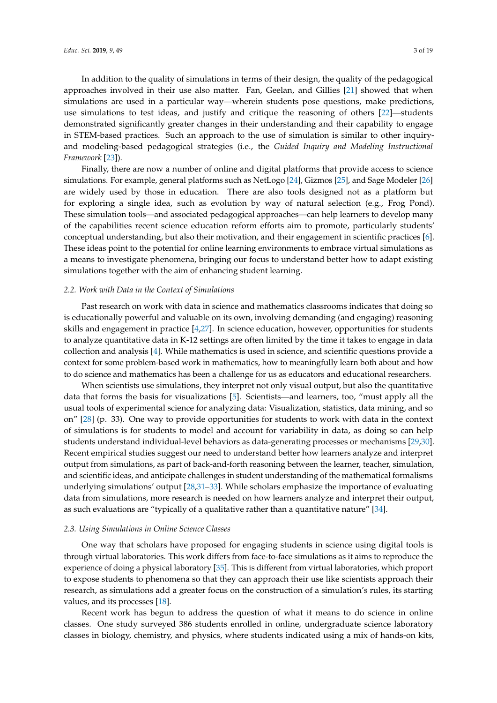In addition to the quality of simulations in terms of their design, the quality of the pedagogical approaches involved in their use also matter. Fan, Geelan, and Gillies [\[21\]](#page-17-13) showed that when simulations are used in a particular way—wherein students pose questions, make predictions, use simulations to test ideas, and justify and critique the reasoning of others [\[22\]](#page-17-14)—students demonstrated significantly greater changes in their understanding and their capability to engage in STEM-based practices. Such an approach to the use of simulation is similar to other inquiryand modeling-based pedagogical strategies (i.e., the *Guided Inquiry and Modeling Instructional Framework* [\[23\]](#page-17-15)).

Finally, there are now a number of online and digital platforms that provide access to science simulations. For example, general platforms such as NetLogo [\[24\]](#page-17-16), Gizmos [\[25\]](#page-17-17), and Sage Modeler [\[26\]](#page-18-0) are widely used by those in education. There are also tools designed not as a platform but for exploring a single idea, such as evolution by way of natural selection (e.g., Frog Pond). These simulation tools—and associated pedagogical approaches—can help learners to develop many of the capabilities recent science education reform efforts aim to promote, particularly students' conceptual understanding, but also their motivation, and their engagement in scientific practices [\[6\]](#page-17-3). These ideas point to the potential for online learning environments to embrace virtual simulations as a means to investigate phenomena, bringing our focus to understand better how to adapt existing simulations together with the aim of enhancing student learning.

#### *2.2. Work with Data in the Context of Simulations*

Past research on work with data in science and mathematics classrooms indicates that doing so is educationally powerful and valuable on its own, involving demanding (and engaging) reasoning skills and engagement in practice [\[4,](#page-17-1)[27\]](#page-18-1). In science education, however, opportunities for students to analyze quantitative data in K-12 settings are often limited by the time it takes to engage in data collection and analysis [\[4\]](#page-17-1). While mathematics is used in science, and scientific questions provide a context for some problem-based work in mathematics, how to meaningfully learn both about and how to do science and mathematics has been a challenge for us as educators and educational researchers.

When scientists use simulations, they interpret not only visual output, but also the quantitative data that forms the basis for visualizations [\[5\]](#page-17-2). Scientists—and learners, too, "must apply all the usual tools of experimental science for analyzing data: Visualization, statistics, data mining, and so on" [\[28\]](#page-18-2) (p. 33). One way to provide opportunities for students to work with data in the context of simulations is for students to model and account for variability in data, as doing so can help students understand individual-level behaviors as data-generating processes or mechanisms [\[29,](#page-18-3)[30\]](#page-18-4). Recent empirical studies suggest our need to understand better how learners analyze and interpret output from simulations, as part of back-and-forth reasoning between the learner, teacher, simulation, and scientific ideas, and anticipate challenges in student understanding of the mathematical formalisms underlying simulations' output [\[28](#page-18-2)[,31](#page-18-5)[–33\]](#page-18-6). While scholars emphasize the importance of evaluating data from simulations, more research is needed on how learners analyze and interpret their output, as such evaluations are "typically of a qualitative rather than a quantitative nature" [\[34\]](#page-18-7).

#### *2.3. Using Simulations in Online Science Classes*

One way that scholars have proposed for engaging students in science using digital tools is through virtual laboratories. This work differs from face-to-face simulations as it aims to reproduce the experience of doing a physical laboratory [\[35\]](#page-18-8). This is different from virtual laboratories, which proport to expose students to phenomena so that they can approach their use like scientists approach their research, as simulations add a greater focus on the construction of a simulation's rules, its starting values, and its processes [\[18\]](#page-17-10).

Recent work has begun to address the question of what it means to do science in online classes. One study surveyed 386 students enrolled in online, undergraduate science laboratory classes in biology, chemistry, and physics, where students indicated using a mix of hands-on kits,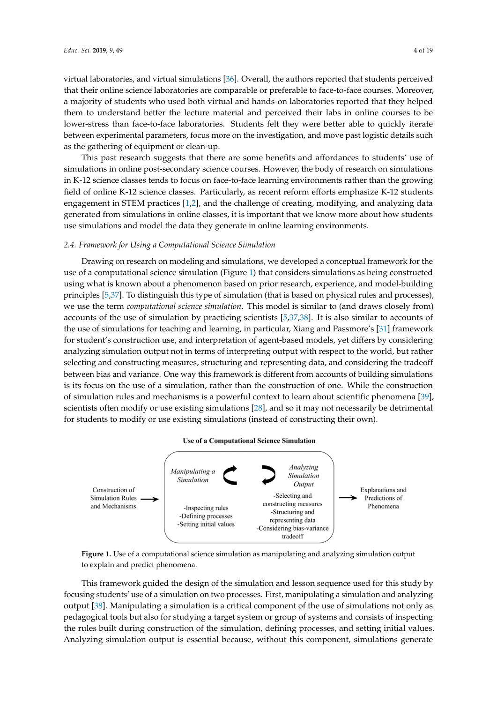virtual laboratories, and virtual simulations [\[36\]](#page-18-9). Overall, the authors reported that students perceived that their online science laboratories are comparable or preferable to face-to-face courses. Moreover, a majority of students who used both virtual and hands-on laboratories reported that they helped them to understand better the lecture material and perceived their labs in online courses to be lower-stress than face-to-face laboratories. Students felt they were better able to quickly iterate<br>. between experimental parameters, focus more on the investigation, and move past logistic details such<br>'' as the gathering of equipment or clean-up. as the gamering or equipment or clearing. However, the body of research of research of  $\epsilon$ 

This past research suggests that there are some benefits and affordances to students' use of simulations in online post-secondary science courses. However, the body of research on simulations in  $\mathcal{L}$ in K-12 science classes tends to focus on face-to-face learning environments rather than the growing<br>engagements in the core of creating of creating of creating data in the challenge of creating data in the chal field of online K-12 science classes. Particularly, as recent reform efforts emphasize K-12 students from students engagement in STEM practices [\[1,](#page-16-0)[2\]](#page-16-1), and the challenge of creating, modifying, and analyzing data the generated from simulations in online classes, it is important that we know more about how students use simulations and model the data they generate in online learning environments. in the past research suggests that there are some venems and amordances to students use of

#### 2.4. Framework for Using a Computational Science Simulation

Drawing on research on modeling and simulations, we developed a conceptual framework for the use of a computational science simulation (Figure [1\)](#page-4-0) that considers simulations as being constructed use model-building what is known about a phenomenon based on prior research, experience, and model-building using what is known about a phenomenon based on prior research, experience, and model-building exaged that is the term as set a processed on processed on prior research, on perfection, and model sciencing<br>principles [\[5](#page-17-2)[,37\]](#page-18-10). To distinguish this type of simulation (that is based on physical rules and processes), principled (5,37,4) to distinguish the v<sub>y</sub> post simulation. (that is subset on priystem rates and processes),<br>we use the term *computational science simulation*. This model is similar to (and draws closely from) accounts of the use of simulation by practicing scientists [\[5](#page-17-2)[,37](#page-18-10)[,38\]](#page-18-11). It is also similar to accounts of the use of simulations for teaching and learning, in particular, Xiang and Passmore's [\[31\]](#page-18-5) framework the use of simulations for teaching and learning, in particular, Xiang and Passmore's [31] framework for student's construction use, and interpretation of agent-based models, yet differs by considering for student's construction use, and interpretation of agent-based models, yet differs by considering respectively construction as with the production of agent subsequences, yet unless sy constructing analyzing simulation output not in terms of interpreting output with respect to the world, but rather atary ang emitation carp at not in terms or meappearing datp at whit respect to the world, satisfacter selecting and constructing measures, structuring and representing data, and considering the tradeoff from accounts and variance. One way this framework is different from accounts of building simulations between bias and variance. One way this framework is different from accounts of building simulations constanting and candidate one may allow that the american term accounts of sumanity simulations is its focus on the use of a simulation, rather than the construction of one. While the construction to the focus of the last of a simulation, rather than the construction of one within the construction of simulation rules and mechanisms is a powerful context to learn about scientific phenomena [\[39\]](#page-18-12), so interaction rates and incendents to a powerful content to call the set occurring procedured  $[s]$ , so it may not necessarily be detrimental for students to modify or use existing simulations  $[10]$  and so it may necessively for students to modify or use existing simulations (instead of constructing their own).

<span id="page-4-0"></span>



This framework guided the design of the simulation and lesson sequence used for this study by focusing students' use of a simulation on two processes. First, manipulating a simulation and analyzing output [\[38\]](#page-18-11). Manipulating a simulation is a critical component of the use of simulations not only as pedagogical tools but also for studying a target system or group of systems and consists of inspecting the rules built during construction of the simulation, defining processes, and setting initial values. Analyzing simulation output is essential because, without this component, simulations generate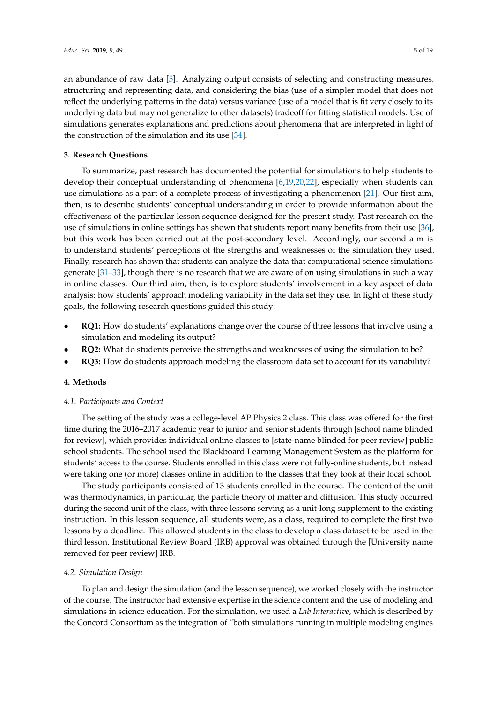an abundance of raw data [\[5\]](#page-17-2). Analyzing output consists of selecting and constructing measures, structuring and representing data, and considering the bias (use of a simpler model that does not reflect the underlying patterns in the data) versus variance (use of a model that is fit very closely to its underlying data but may not generalize to other datasets) tradeoff for fitting statistical models. Use of simulations generates explanations and predictions about phenomena that are interpreted in light of the construction of the simulation and its use [\[34\]](#page-18-7).

#### **3. Research Questions**

To summarize, past research has documented the potential for simulations to help students to develop their conceptual understanding of phenomena [\[6,](#page-17-3)[19,](#page-17-11)[20,](#page-17-12)[22\]](#page-17-14), especially when students can use simulations as a part of a complete process of investigating a phenomenon [\[21\]](#page-17-13). Our first aim, then, is to describe students' conceptual understanding in order to provide information about the effectiveness of the particular lesson sequence designed for the present study. Past research on the use of simulations in online settings has shown that students report many benefits from their use [\[36\]](#page-18-9), but this work has been carried out at the post-secondary level. Accordingly, our second aim is to understand students' perceptions of the strengths and weaknesses of the simulation they used. Finally, research has shown that students can analyze the data that computational science simulations generate [\[31–](#page-18-5)[33\]](#page-18-6), though there is no research that we are aware of on using simulations in such a way in online classes. Our third aim, then, is to explore students' involvement in a key aspect of data analysis: how students' approach modeling variability in the data set they use. In light of these study goals, the following research questions guided this study:

- **RQ1:** How do students' explanations change over the course of three lessons that involve using a simulation and modeling its output?
- **RQ2:** What do students perceive the strengths and weaknesses of using the simulation to be?
- **RQ3:** How do students approach modeling the classroom data set to account for its variability?

#### **4. Methods**

#### *4.1. Participants and Context*

The setting of the study was a college-level AP Physics 2 class. This class was offered for the first time during the 2016–2017 academic year to junior and senior students through [school name blinded for review], which provides individual online classes to [state-name blinded for peer review] public school students. The school used the Blackboard Learning Management System as the platform for students' access to the course. Students enrolled in this class were not fully-online students, but instead were taking one (or more) classes online in addition to the classes that they took at their local school.

The study participants consisted of 13 students enrolled in the course. The content of the unit was thermodynamics, in particular, the particle theory of matter and diffusion. This study occurred during the second unit of the class, with three lessons serving as a unit-long supplement to the existing instruction. In this lesson sequence, all students were, as a class, required to complete the first two lessons by a deadline. This allowed students in the class to develop a class dataset to be used in the third lesson. Institutional Review Board (IRB) approval was obtained through the [University name removed for peer review] IRB.

#### *4.2. Simulation Design*

To plan and design the simulation (and the lesson sequence), we worked closely with the instructor of the course. The instructor had extensive expertise in the science content and the use of modeling and simulations in science education. For the simulation, we used a *Lab Interactive*, which is described by the Concord Consortium as the integration of "both simulations running in multiple modeling engines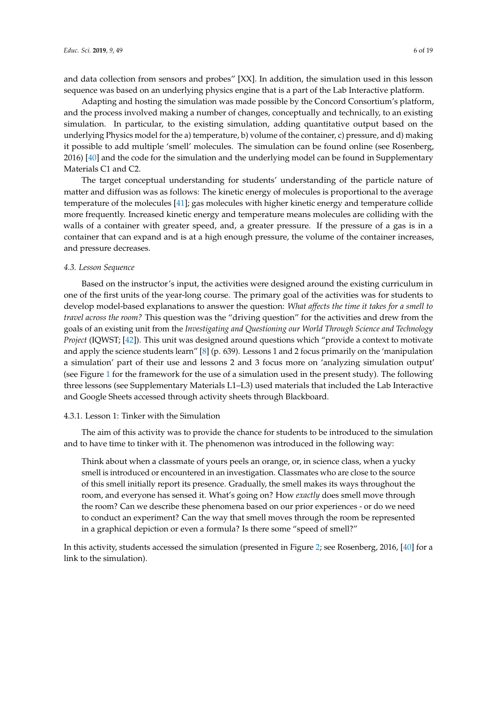and data collection from sensors and probes" [XX]. In addition, the simulation used in this lesson sequence was based on an underlying physics engine that is a part of the Lab Interactive platform.

Adapting and hosting the simulation was made possible by the Concord Consortium's platform, and the process involved making a number of changes, conceptually and technically, to an existing simulation. In particular, to the existing simulation, adding quantitative output based on the underlying Physics model for the a) temperature, b) volume of the container, c) pressure, and d) making it possible to add multiple 'smell' molecules. The simulation can be found online (see Rosenberg, 2016) [\[40\]](#page-18-13) and the code for the simulation and the underlying model can be found in Supplementary Materials C1 and C2.

The target conceptual understanding for students' understanding of the particle nature of matter and diffusion was as follows: The kinetic energy of molecules is proportional to the average temperature of the molecules [\[41\]](#page-18-14); gas molecules with higher kinetic energy and temperature collide more frequently. Increased kinetic energy and temperature means molecules are colliding with the walls of a container with greater speed, and, a greater pressure. If the pressure of a gas is in a container that can expand and is at a high enough pressure, the volume of the container increases, and pressure decreases.

#### *4.3. Lesson Sequence*

Based on the instructor's input, the activities were designed around the existing curriculum in one of the first units of the year-long course. The primary goal of the activities was for students to develop model-based explanations to answer the question: *What affects the time it takes for a smell to travel across the room?* This question was the "driving question" for the activities and drew from the goals of an existing unit from the *Investigating and Questioning our World Through Science and Technology Project* (IQWST; [\[42\]](#page-18-15)). This unit was designed around questions which "provide a context to motivate and apply the science students learn" [\[8\]](#page-17-18) (p. 639). Lessons 1 and 2 focus primarily on the 'manipulation a simulation' part of their use and lessons 2 and 3 focus more on 'analyzing simulation output' (see Figure [1](#page-4-0) for the framework for the use of a simulation used in the present study). The following three lessons (see Supplementary Materials L1–L3) used materials that included the Lab Interactive and Google Sheets accessed through activity sheets through Blackboard.

#### 4.3.1. Lesson 1: Tinker with the Simulation

The aim of this activity was to provide the chance for students to be introduced to the simulation and to have time to tinker with it. The phenomenon was introduced in the following way:

Think about when a classmate of yours peels an orange, or, in science class, when a yucky smell is introduced or encountered in an investigation. Classmates who are close to the source of this smell initially report its presence. Gradually, the smell makes its ways throughout the room, and everyone has sensed it. What's going on? How *exactly* does smell move through the room? Can we describe these phenomena based on our prior experiences - or do we need to conduct an experiment? Can the way that smell moves through the room be represented in a graphical depiction or even a formula? Is there some "speed of smell?"

In this activity, students accessed the simulation (presented in Figure [2;](#page-7-0) see Rosenberg, 2016, [\[40\]](#page-18-13) for a link to the simulation).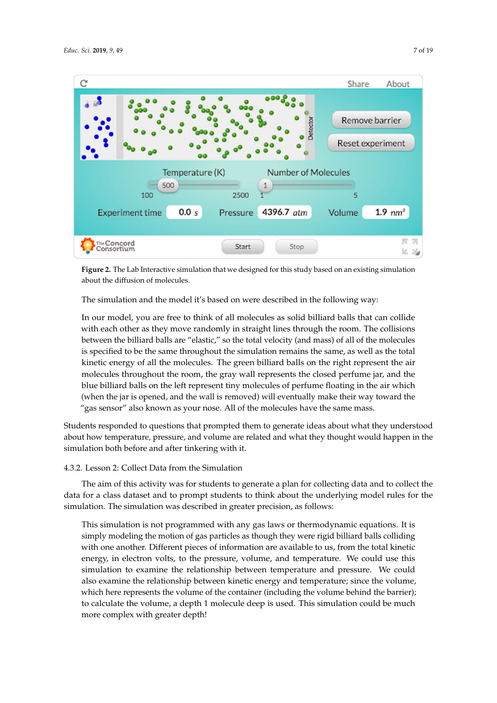<span id="page-7-0"></span>

**Figure 2.** The Lab Interactive simulation that we designed for this study based on an existing simulation simulation about the diffusion of molecules. about the diffusion of molecules.

The simulation and the model it's based on were described in the following way: The simulation and the model it's based on were described in the following way:

In our model, you are free to think of all molecules as solid billiard balls that can collide In our model, you are free to think of all molecules as solid billiard balls that can collide with each other as they move randomly in straight lines through the room. The collisions  $\mathcal{L}$ between the billiard balls are "elastic," so the total velocity (and mass) of all of the molecules between the billiard balls are "elastic," so the total velocity (and mass) of all of the molecules is specified to be the same throughout the simulation remains the same, as well as the total is specified to be the same throughout the simulation remains the same, as well as the total kinetic energy of all the molecules. The green billiard balls on the right represent the air kinetic energy of all the molecules. The green billiard balls on the right represent the air molecules throughout the room, the gray wall represents the closed perfume jar, and the molecules throughout the room, the gray wall represents the closed perfume jar, and the blue billiard balls on the left represent tiny molecules of perfume floating in the air which  $\ell$ (when the jar is opened, and the wall is removed) will eventually make their way toward the  $\mu$ the "gas sensor" also known as your nose. All of the molecules have the same mass. "gas sensor" also known as your nose. All of the molecules have the same mass.

Students responded to questions that prompted them to generate ideas about what they understood Students responded to questions that prompted them to generate ideas about what they understood simulation both before and after tinkering with it. about how temperature, pressure, and volume are related and what they thought would happen in the

4.3.2. Lesson 2: Collect Data from the Simulation

The aim of this activity was for students to generate a plan for collecting data and to collect the data for a class dataset and to prompt students to think about the underlying model rules for the simulation. The simulation was described in greater precision, as follows:

This simulation is not programmed with any gas laws or thermodynamic equations. It is simply modeling the motion of gas particles as though they were rigid billiard balls colliding with one another. Different pieces of information are available to us, from the total kinetic energy, in electron volts, to the pressure, volume, and temperature. We could use this simulation to examine the relationship between temperature and pressure. We could also examine the relationship between kinetic energy and temperature; since the volume, which here represents the volume of the container (including the volume behind the barrier); to calculate the volume, a depth 1 molecule deep is used. This simulation could be much more complex with greater depth!  $\blacksquare$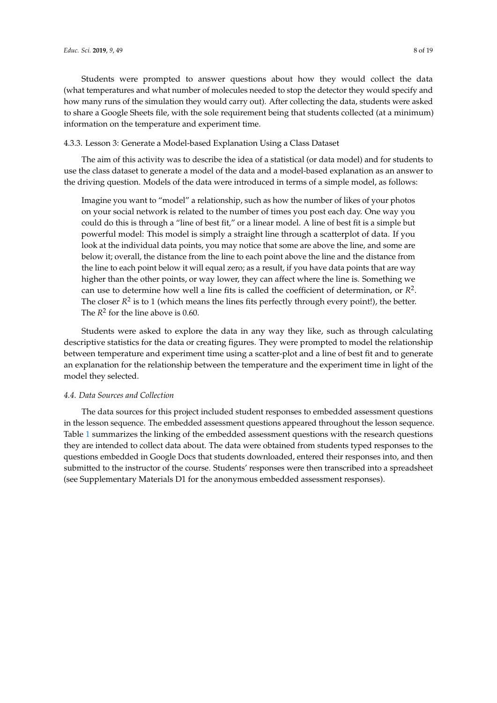Students were prompted to answer questions about how they would collect the data (what temperatures and what number of molecules needed to stop the detector they would specify and how many runs of the simulation they would carry out). After collecting the data, students were asked to share a Google Sheets file, with the sole requirement being that students collected (at a minimum) information on the temperature and experiment time.

#### 4.3.3. Lesson 3: Generate a Model-based Explanation Using a Class Dataset

The aim of this activity was to describe the idea of a statistical (or data model) and for students to use the class dataset to generate a model of the data and a model-based explanation as an answer to the driving question. Models of the data were introduced in terms of a simple model, as follows:

Imagine you want to "model" a relationship, such as how the number of likes of your photos on your social network is related to the number of times you post each day. One way you could do this is through a "line of best fit," or a linear model. A line of best fit is a simple but powerful model: This model is simply a straight line through a scatterplot of data. If you look at the individual data points, you may notice that some are above the line, and some are below it; overall, the distance from the line to each point above the line and the distance from the line to each point below it will equal zero; as a result, if you have data points that are way higher than the other points, or way lower, they can affect where the line is. Something we can use to determine how well a line fits is called the coefficient of determination, or *R* 2 . The closer  $R^2$  is to 1 (which means the lines fits perfectly through every point!), the better. The  $R^2$  for the line above is 0.60.

Students were asked to explore the data in any way they like, such as through calculating descriptive statistics for the data or creating figures. They were prompted to model the relationship between temperature and experiment time using a scatter-plot and a line of best fit and to generate an explanation for the relationship between the temperature and the experiment time in light of the model they selected.

#### *4.4. Data Sources and Collection*

The data sources for this project included student responses to embedded assessment questions in the lesson sequence. The embedded assessment questions appeared throughout the lesson sequence. Table [1](#page-9-0) summarizes the linking of the embedded assessment questions with the research questions they are intended to collect data about. The data were obtained from students typed responses to the questions embedded in Google Docs that students downloaded, entered their responses into, and then submitted to the instructor of the course. Students' responses were then transcribed into a spreadsheet (see Supplementary Materials D1 for the anonymous embedded assessment responses).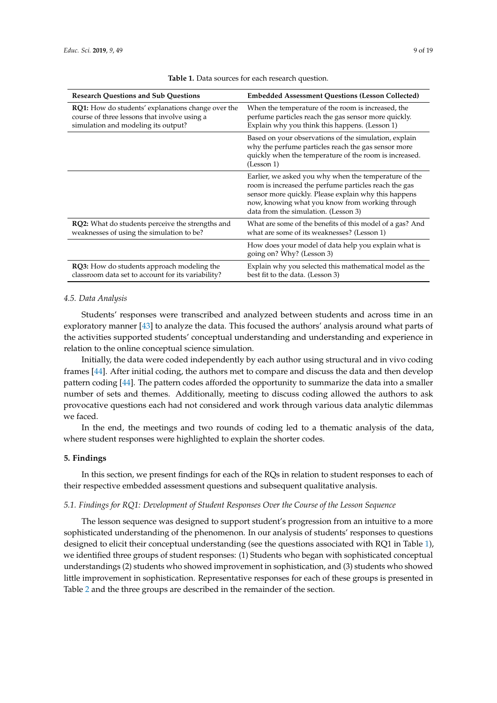<span id="page-9-0"></span>

| <b>Research Questions and Sub Questions</b>                                                                                                      | <b>Embedded Assessment Questions (Lesson Collected)</b>                                                                                                                                                                                                           |
|--------------------------------------------------------------------------------------------------------------------------------------------------|-------------------------------------------------------------------------------------------------------------------------------------------------------------------------------------------------------------------------------------------------------------------|
| <b>RQ1:</b> How do students' explanations change over the<br>course of three lessons that involve using a<br>simulation and modeling its output? | When the temperature of the room is increased, the<br>perfume particles reach the gas sensor more quickly.<br>Explain why you think this happens. (Lesson 1)                                                                                                      |
|                                                                                                                                                  | Based on your observations of the simulation, explain<br>why the perfume particles reach the gas sensor more<br>quickly when the temperature of the room is increased.<br>(Lesson 1)                                                                              |
|                                                                                                                                                  | Earlier, we asked you why when the temperature of the<br>room is increased the perfume particles reach the gas<br>sensor more quickly. Please explain why this happens<br>now, knowing what you know from working through<br>data from the simulation. (Lesson 3) |
| RQ2: What do students perceive the strengths and<br>weaknesses of using the simulation to be?                                                    | What are some of the benefits of this model of a gas? And<br>what are some of its weaknesses? (Lesson 1)                                                                                                                                                          |
|                                                                                                                                                  | How does your model of data help you explain what is<br>going on? Why? (Lesson 3)                                                                                                                                                                                 |
| <b>RQ3:</b> How do students approach modeling the<br>classroom data set to account for its variability?                                          | Explain why you selected this mathematical model as the<br>best fit to the data. (Lesson 3)                                                                                                                                                                       |

**Table 1.** Data sources for each research question.

#### *4.5. Data Analysis*

Students' responses were transcribed and analyzed between students and across time in an exploratory manner [\[43\]](#page-18-16) to analyze the data. This focused the authors' analysis around what parts of the activities supported students' conceptual understanding and understanding and experience in relation to the online conceptual science simulation.

Initially, the data were coded independently by each author using structural and in vivo coding frames [\[44\]](#page-18-17). After initial coding, the authors met to compare and discuss the data and then develop pattern coding [\[44\]](#page-18-17). The pattern codes afforded the opportunity to summarize the data into a smaller number of sets and themes. Additionally, meeting to discuss coding allowed the authors to ask provocative questions each had not considered and work through various data analytic dilemmas we faced.

In the end, the meetings and two rounds of coding led to a thematic analysis of the data, where student responses were highlighted to explain the shorter codes.

#### **5. Findings**

In this section, we present findings for each of the RQs in relation to student responses to each of their respective embedded assessment questions and subsequent qualitative analysis.

#### *5.1. Findings for RQ1: Development of Student Responses Over the Course of the Lesson Sequence*

The lesson sequence was designed to support student's progression from an intuitive to a more sophisticated understanding of the phenomenon. In our analysis of students' responses to questions designed to elicit their conceptual understanding (see the questions associated with RQ1 in Table [1\)](#page-9-0), we identified three groups of student responses: (1) Students who began with sophisticated conceptual understandings (2) students who showed improvement in sophistication, and (3) students who showed little improvement in sophistication. Representative responses for each of these groups is presented in Table [2](#page-10-0) and the three groups are described in the remainder of the section.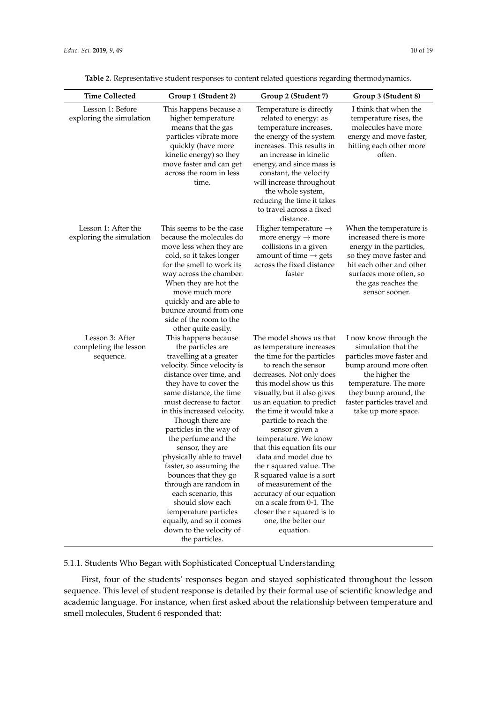<span id="page-10-0"></span>

| <b>Time Collected</b>                                 | Group 1 (Student 2)                                                                                                                                                                                                                                                                                                                                                                                                                                                                                                                                                                           | Group 2 (Student 7)                                                                                                                                                                                                                                                                                                                                                                                                                                                                                                                                                                            | Group 3 (Student 8)                                                                                                                                                                                                            |
|-------------------------------------------------------|-----------------------------------------------------------------------------------------------------------------------------------------------------------------------------------------------------------------------------------------------------------------------------------------------------------------------------------------------------------------------------------------------------------------------------------------------------------------------------------------------------------------------------------------------------------------------------------------------|------------------------------------------------------------------------------------------------------------------------------------------------------------------------------------------------------------------------------------------------------------------------------------------------------------------------------------------------------------------------------------------------------------------------------------------------------------------------------------------------------------------------------------------------------------------------------------------------|--------------------------------------------------------------------------------------------------------------------------------------------------------------------------------------------------------------------------------|
| Lesson 1: Before<br>exploring the simulation          | This happens because a<br>higher temperature<br>means that the gas<br>particles vibrate more<br>quickly (have more<br>kinetic energy) so they<br>move faster and can get<br>across the room in less<br>time.                                                                                                                                                                                                                                                                                                                                                                                  | Temperature is directly<br>related to energy: as<br>temperature increases,<br>the energy of the system<br>increases. This results in<br>an increase in kinetic<br>energy, and since mass is<br>constant, the velocity<br>will increase throughout<br>the whole system,<br>reducing the time it takes<br>to travel across a fixed<br>distance.                                                                                                                                                                                                                                                  | I think that when the<br>temperature rises, the<br>molecules have more<br>energy and move faster,<br>hitting each other more<br>often.                                                                                         |
| Lesson 1: After the<br>exploring the simulation       | This seems to be the case<br>because the molecules do<br>move less when they are<br>cold, so it takes longer<br>for the smell to work its<br>way across the chamber.<br>When they are hot the<br>move much more<br>quickly and are able to<br>bounce around from one<br>side of the room to the<br>other quite easily.                                                                                                                                                                                                                                                                        | Higher temperature $\rightarrow$<br>more energy $\rightarrow$ more<br>collisions in a given<br>amount of time $\rightarrow$ gets<br>across the fixed distance<br>faster                                                                                                                                                                                                                                                                                                                                                                                                                        | When the temperature is<br>increased there is more<br>energy in the particles,<br>so they move faster and<br>hit each other and other<br>surfaces more often, so<br>the gas reaches the<br>sensor sooner.                      |
| Lesson 3: After<br>completing the lesson<br>sequence. | This happens because<br>the particles are<br>travelling at a greater<br>velocity. Since velocity is<br>distance over time, and<br>they have to cover the<br>same distance, the time<br>must decrease to factor<br>in this increased velocity.<br>Though there are<br>particles in the way of<br>the perfume and the<br>sensor, they are<br>physically able to travel<br>faster, so assuming the<br>bounces that they go<br>through are random in<br>each scenario, this<br>should slow each<br>temperature particles<br>equally, and so it comes<br>down to the velocity of<br>the particles. | The model shows us that<br>as temperature increases<br>the time for the particles<br>to reach the sensor<br>decreases. Not only does<br>this model show us this<br>visually, but it also gives<br>us an equation to predict<br>the time it would take a<br>particle to reach the<br>sensor given a<br>temperature. We know<br>that this equation fits our<br>data and model due to<br>the r squared value. The<br>R squared value is a sort<br>of measurement of the<br>accuracy of our equation<br>on a scale from 0-1. The<br>closer the r squared is to<br>one, the better our<br>equation. | I now know through the<br>simulation that the<br>particles move faster and<br>bump around more often<br>the higher the<br>temperature. The more<br>they bump around, the<br>faster particles travel and<br>take up more space. |

**Table 2.** Representative student responses to content related questions regarding thermodynamics.

5.1.1. Students Who Began with Sophisticated Conceptual Understanding

First, four of the students' responses began and stayed sophisticated throughout the lesson sequence. This level of student response is detailed by their formal use of scientific knowledge and academic language. For instance, when first asked about the relationship between temperature and smell molecules, Student 6 responded that: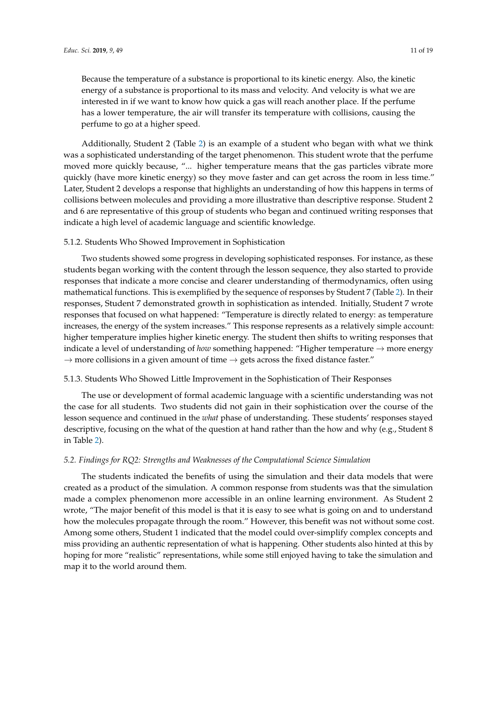Because the temperature of a substance is proportional to its kinetic energy. Also, the kinetic energy of a substance is proportional to its mass and velocity. And velocity is what we are interested in if we want to know how quick a gas will reach another place. If the perfume has a lower temperature, the air will transfer its temperature with collisions, causing the perfume to go at a higher speed.

Additionally, Student 2 (Table [2\)](#page-10-0) is an example of a student who began with what we think was a sophisticated understanding of the target phenomenon. This student wrote that the perfume moved more quickly because, "... higher temperature means that the gas particles vibrate more quickly (have more kinetic energy) so they move faster and can get across the room in less time." Later, Student 2 develops a response that highlights an understanding of how this happens in terms of collisions between molecules and providing a more illustrative than descriptive response. Student 2 and 6 are representative of this group of students who began and continued writing responses that indicate a high level of academic language and scientific knowledge.

#### 5.1.2. Students Who Showed Improvement in Sophistication

Two students showed some progress in developing sophisticated responses. For instance, as these students began working with the content through the lesson sequence, they also started to provide responses that indicate a more concise and clearer understanding of thermodynamics, often using mathematical functions. This is exemplified by the sequence of responses by Student 7 (Table [2\)](#page-10-0). In their responses, Student 7 demonstrated growth in sophistication as intended. Initially, Student 7 wrote responses that focused on what happened: "Temperature is directly related to energy: as temperature increases, the energy of the system increases." This response represents as a relatively simple account: higher temperature implies higher kinetic energy. The student then shifts to writing responses that indicate a level of understanding of *how* something happened: "Higher temperature  $\rightarrow$  more energy  $\rightarrow$  more collisions in a given amount of time  $\rightarrow$  gets across the fixed distance faster."

#### 5.1.3. Students Who Showed Little Improvement in the Sophistication of Their Responses

The use or development of formal academic language with a scientific understanding was not the case for all students. Two students did not gain in their sophistication over the course of the lesson sequence and continued in the *what* phase of understanding. These students' responses stayed descriptive, focusing on the what of the question at hand rather than the how and why (e.g., Student 8 in Table [2\)](#page-10-0).

#### *5.2. Findings for RQ2: Strengths and Weaknesses of the Computational Science Simulation*

The students indicated the benefits of using the simulation and their data models that were created as a product of the simulation. A common response from students was that the simulation made a complex phenomenon more accessible in an online learning environment. As Student 2 wrote, "The major benefit of this model is that it is easy to see what is going on and to understand how the molecules propagate through the room." However, this benefit was not without some cost. Among some others, Student 1 indicated that the model could over-simplify complex concepts and miss providing an authentic representation of what is happening. Other students also hinted at this by hoping for more "realistic" representations, while some still enjoyed having to take the simulation and map it to the world around them.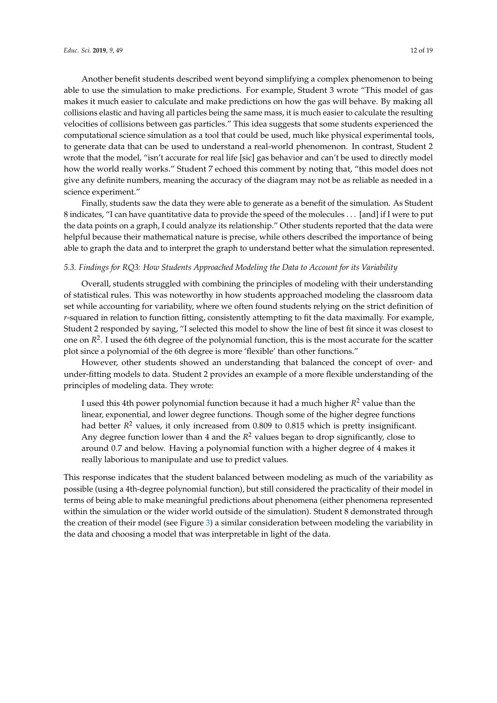Another benefit students described went beyond simplifying a complex phenomenon to being able to use the simulation to make predictions. For example, Student 3 wrote "This model of gas makes it much easier to calculate and make predictions on how the gas will behave. By making all collisions elastic and having all particles being the same mass, it is much easier to calculate the resulting velocities of collisions between gas particles." This idea suggests that some students experienced the computational science simulation as a tool that could be used, much like physical experimental tools, to generate data that can be used to understand a real-world phenomenon. In contrast, Student 2 wrote that the model, "isn't accurate for real life [sic] gas behavior and can't be used to directly model how the world really works." Student 7 echoed this comment by noting that, "this model does not give any definite numbers, meaning the accuracy of the diagram may not be as reliable as needed in a science experiment."

Finally, students saw the data they were able to generate as a benefit of the simulation. As Student 8 indicates, "I can have quantitative data to provide the speed of the molecules . . . [and] if I were to put the data points on a graph, I could analyze its relationship." Other students reported that the data were helpful because their mathematical nature is precise, while others described the importance of being able to graph the data and to interpret the graph to understand better what the simulation represented.

#### *5.3. Findings for RQ3: How Students Approached Modeling the Data to Account for its Variability*

Overall, students struggled with combining the principles of modeling with their understanding of statistical rules. This was noteworthy in how students approached modeling the classroom data set while accounting for variability, where we often found students relying on the strict definition of *r*-squared in relation to function fitting, consistently attempting to fit the data maximally. For example, Student 2 responded by saying, "I selected this model to show the line of best fit since it was closest to one on  $R^2$ . I used the 6th degree of the polynomial function, this is the most accurate for the scatter plot since a polynomial of the 6th degree is more 'flexible' than other functions."

However, other students showed an understanding that balanced the concept of over- and under-fitting models to data. Student 2 provides an example of a more flexible understanding of the principles of modeling data. They wrote:

I used this 4th power polynomial function because it had a much higher *R* <sup>2</sup> value than the linear, exponential, and lower degree functions. Though some of the higher degree functions had better *R* <sup>2</sup> values, it only increased from 0.809 to 0.815 which is pretty insignificant. Any degree function lower than 4 and the *R* <sup>2</sup> values began to drop significantly, close to around 0.7 and below. Having a polynomial function with a higher degree of 4 makes it really laborious to manipulate and use to predict values.

This response indicates that the student balanced between modeling as much of the variability as possible (using a 4th-degree polynomial function), but still considered the practicality of their model in terms of being able to make meaningful predictions about phenomena (either phenomena represented within the simulation or the wider world outside of the simulation). Student 8 demonstrated through the creation of their model (see Figure [3\)](#page-13-0) a similar consideration between modeling the variability in the data and choosing a model that was interpretable in light of the data.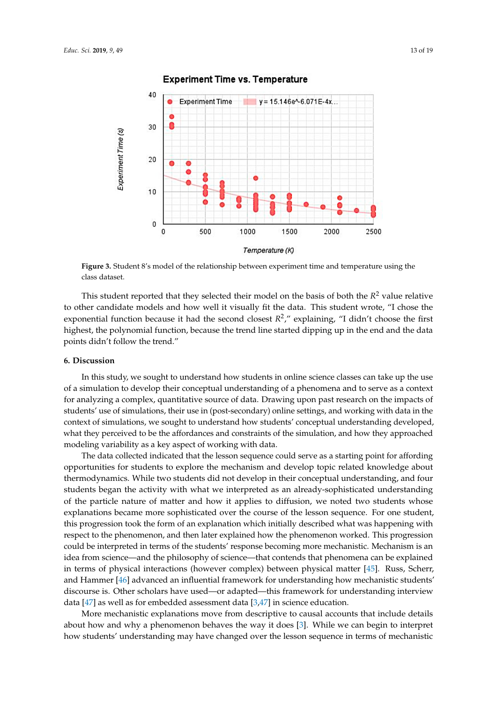<span id="page-13-0"></span>

#### **Experiment Time vs. Temperature**

Figure 3. **Student 8's model of the relationship between** experiment time and time and temperature using the relationship between experiment time and the relationship between experiment time and the students of the student **Figure 3.** Student 8's model of the relationship between experiment time and temperature using the class dataset.

This student reported that they selected their model on the basis of both the  $R^2$  value relative to other candidate models and how well it visually fit the data. This student wrote, "I chose the<br>the R<sup>2</sup> value of both the R<sup>2</sup> value of the R<sup>2</sup> value of the R<sup>2</sup> value of the R<sup>2</sup> value of the R<sup>2</sup> value of the R<sup>2</sup> exponential function because it had the second closest  $R^2$ ," explaining, "I didn't choose the first highest, the polynomial function, because the trend line started dipping up in the end and the data<br>highest, the polynomial function, because the trend line started dipping up in the end and the data points didn't follow the trend."

### points didn't follow the trend." **6. Discussion**

**6. Discussion**  In this study, we sought to understand how students in online science classes can take up the use for analyzing a complex, quantitative source of data. Drawing upon past research on the impacts of students' use of simulations, their use in (post-secondary) online settings, and working with data in the context of simulations, we sought to understand how students' conceptual understanding developed, what they perceived to be the affordances and constraints of the simulation, and how they approached modeling variability as a key aspect of working with data. of a simulation to develop their conceptual understanding of a phenomena and to serve as a context

The data collected indicated that the lesson sequence could serve as a starting point for affording opportunities for students to explore the mechanism and develop topic related knowledge about  $T_{\text{r}}$  thermodynamics. While two students did not develop in their conceptual understanding, and four students began the activity with what we interpreted as an already-sophisticated understanding of the particle nature of matter and how it applies to diffusion, we noted two students whose explanations became more sophisticated over the course of the lesson sequence. For one student, this progression took the form of an explanation which initially described what was happening with respect to the phenomenon, and then later explained how the phenomenon worked. This progression respect to the phenomenon, and then later explained how the phenomenon worked. This progression could be interpreted in terms of the students' response becoming more mechanistic. Mechanism is an idea from science—and the philosophy of science—that contends that phenomena can be explained in terms of physical interactions (however complex) between physical matter [\[45\]](#page-18-18). Russ, Scherr, and Hammer [\[46\]](#page-18-19) advanced an influential framework for understanding how mechanistic students' discourse is. Other scholars have used—or adapted—this framework for understanding interview data [\[47\]](#page-18-20) as well as for embedded assessment data [\[3,](#page-17-0)[47\]](#page-18-20) in science education.

More mechanistic explanations move from descriptive to causal accounts that include details about how and why a phenomenon behaves the way it does [\[3\]](#page-17-0). While we can begin to interpret  $M_{\rm tot}$  mechanistic explanations move from descriptive to causal accounts that include details that is detailed details that include details accounts that include details accounts that include details accounts of mechani how students' understanding may have changed over the lesson sequence in terms of mechanistic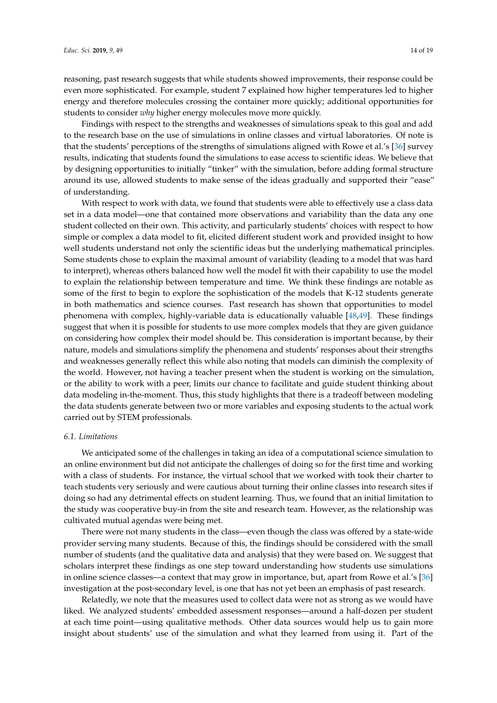reasoning, past research suggests that while students showed improvements, their response could be even more sophisticated. For example, student 7 explained how higher temperatures led to higher energy and therefore molecules crossing the container more quickly; additional opportunities for students to consider *why* higher energy molecules move more quickly.

Findings with respect to the strengths and weaknesses of simulations speak to this goal and add to the research base on the use of simulations in online classes and virtual laboratories. Of note is that the students' perceptions of the strengths of simulations aligned with Rowe et al.'s [\[36\]](#page-18-9) survey results, indicating that students found the simulations to ease access to scientific ideas. We believe that by designing opportunities to initially "tinker" with the simulation, before adding formal structure around its use, allowed students to make sense of the ideas gradually and supported their "ease" of understanding.

With respect to work with data, we found that students were able to effectively use a class data set in a data model—one that contained more observations and variability than the data any one student collected on their own. This activity, and particularly students' choices with respect to how simple or complex a data model to fit, elicited different student work and provided insight to how well students understand not only the scientific ideas but the underlying mathematical principles. Some students chose to explain the maximal amount of variability (leading to a model that was hard to interpret), whereas others balanced how well the model fit with their capability to use the model to explain the relationship between temperature and time. We think these findings are notable as some of the first to begin to explore the sophistication of the models that K-12 students generate in both mathematics and science courses. Past research has shown that opportunities to model phenomena with complex, highly-variable data is educationally valuable [\[48,](#page-18-21)[49\]](#page-19-0). These findings suggest that when it is possible for students to use more complex models that they are given guidance on considering how complex their model should be. This consideration is important because, by their nature, models and simulations simplify the phenomena and students' responses about their strengths and weaknesses generally reflect this while also noting that models can diminish the complexity of the world. However, not having a teacher present when the student is working on the simulation, or the ability to work with a peer, limits our chance to facilitate and guide student thinking about data modeling in-the-moment. Thus, this study highlights that there is a tradeoff between modeling the data students generate between two or more variables and exposing students to the actual work carried out by STEM professionals.

#### *6.1. Limitations*

We anticipated some of the challenges in taking an idea of a computational science simulation to an online environment but did not anticipate the challenges of doing so for the first time and working with a class of students. For instance, the virtual school that we worked with took their charter to teach students very seriously and were cautious about turning their online classes into research sites if doing so had any detrimental effects on student learning. Thus, we found that an initial limitation to the study was cooperative buy-in from the site and research team. However, as the relationship was cultivated mutual agendas were being met.

There were not many students in the class—even though the class was offered by a state-wide provider serving many students. Because of this, the findings should be considered with the small number of students (and the qualitative data and analysis) that they were based on. We suggest that scholars interpret these findings as one step toward understanding how students use simulations in online science classes—a context that may grow in importance, but, apart from Rowe et al.'s [\[36\]](#page-18-9) investigation at the post-secondary level, is one that has not yet been an emphasis of past research.

Relatedly, we note that the measures used to collect data were not as strong as we would have liked. We analyzed students' embedded assessment responses—around a half-dozen per student at each time point—using qualitative methods. Other data sources would help us to gain more insight about students' use of the simulation and what they learned from using it. Part of the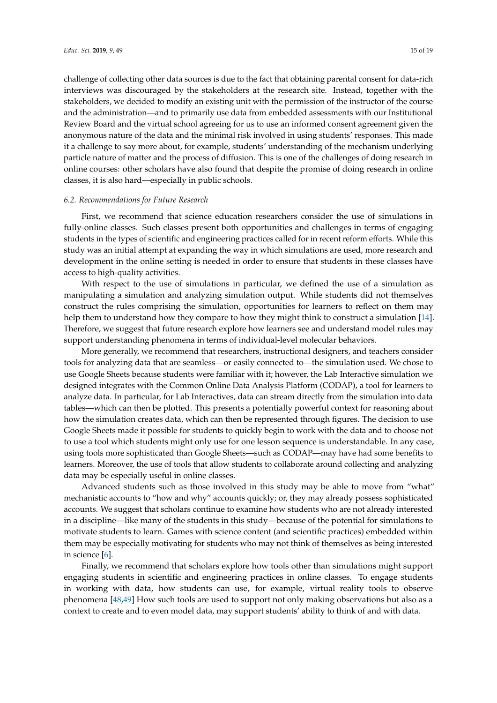challenge of collecting other data sources is due to the fact that obtaining parental consent for data-rich interviews was discouraged by the stakeholders at the research site. Instead, together with the stakeholders, we decided to modify an existing unit with the permission of the instructor of the course and the administration—and to primarily use data from embedded assessments with our Institutional Review Board and the virtual school agreeing for us to use an informed consent agreement given the anonymous nature of the data and the minimal risk involved in using students' responses. This made it a challenge to say more about, for example, students' understanding of the mechanism underlying particle nature of matter and the process of diffusion. This is one of the challenges of doing research in online courses: other scholars have also found that despite the promise of doing research in online classes, it is also hard—especially in public schools.

#### *6.2. Recommendations for Future Research*

First, we recommend that science education researchers consider the use of simulations in fully-online classes. Such classes present both opportunities and challenges in terms of engaging students in the types of scientific and engineering practices called for in recent reform efforts. While this study was an initial attempt at expanding the way in which simulations are used, more research and development in the online setting is needed in order to ensure that students in these classes have access to high-quality activities.

With respect to the use of simulations in particular, we defined the use of a simulation as manipulating a simulation and analyzing simulation output. While students did not themselves construct the rules comprising the simulation, opportunities for learners to reflect on them may help them to understand how they compare to how they might think to construct a simulation [\[14\]](#page-17-19). Therefore, we suggest that future research explore how learners see and understand model rules may support understanding phenomena in terms of individual-level molecular behaviors.

More generally, we recommend that researchers, instructional designers, and teachers consider tools for analyzing data that are seamless—or easily connected to—the simulation used. We chose to use Google Sheets because students were familiar with it; however, the Lab Interactive simulation we designed integrates with the Common Online Data Analysis Platform (CODAP), a tool for learners to analyze data. In particular, for Lab Interactives, data can stream directly from the simulation into data tables—which can then be plotted. This presents a potentially powerful context for reasoning about how the simulation creates data, which can then be represented through figures. The decision to use Google Sheets made it possible for students to quickly begin to work with the data and to choose not to use a tool which students might only use for one lesson sequence is understandable. In any case, using tools more sophisticated than Google Sheets—such as CODAP—may have had some benefits to learners. Moreover, the use of tools that allow students to collaborate around collecting and analyzing data may be especially useful in online classes.

Advanced students such as those involved in this study may be able to move from "what" mechanistic accounts to "how and why" accounts quickly; or, they may already possess sophisticated accounts. We suggest that scholars continue to examine how students who are not already interested in a discipline—like many of the students in this study—because of the potential for simulations to motivate students to learn. Games with science content (and scientific practices) embedded within them may be especially motivating for students who may not think of themselves as being interested in science [\[6\]](#page-17-3).

Finally, we recommend that scholars explore how tools other than simulations might support engaging students in scientific and engineering practices in online classes. To engage students in working with data, how students can use, for example, virtual reality tools to observe phenomena [\[48](#page-18-21)[,49\]](#page-19-0) How such tools are used to support not only making observations but also as a context to create and to even model data, may support students' ability to think of and with data.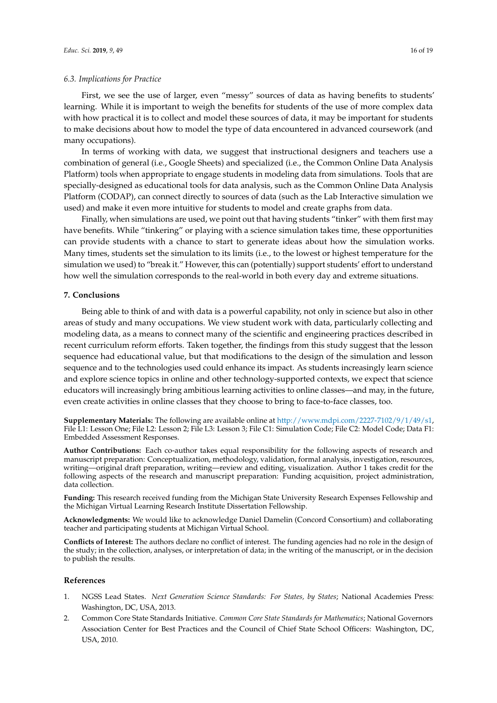#### *6.3. Implications for Practice*

First, we see the use of larger, even "messy" sources of data as having benefits to students' learning. While it is important to weigh the benefits for students of the use of more complex data with how practical it is to collect and model these sources of data, it may be important for students to make decisions about how to model the type of data encountered in advanced coursework (and many occupations).

In terms of working with data, we suggest that instructional designers and teachers use a combination of general (i.e., Google Sheets) and specialized (i.e., the Common Online Data Analysis Platform) tools when appropriate to engage students in modeling data from simulations. Tools that are specially-designed as educational tools for data analysis, such as the Common Online Data Analysis Platform (CODAP), can connect directly to sources of data (such as the Lab Interactive simulation we used) and make it even more intuitive for students to model and create graphs from data.

Finally, when simulations are used, we point out that having students "tinker" with them first may have benefits. While "tinkering" or playing with a science simulation takes time, these opportunities can provide students with a chance to start to generate ideas about how the simulation works. Many times, students set the simulation to its limits (i.e., to the lowest or highest temperature for the simulation we used) to "break it." However, this can (potentially) support students' effort to understand how well the simulation corresponds to the real-world in both every day and extreme situations.

#### **7. Conclusions**

Being able to think of and with data is a powerful capability, not only in science but also in other areas of study and many occupations. We view student work with data, particularly collecting and modeling data, as a means to connect many of the scientific and engineering practices described in recent curriculum reform efforts. Taken together, the findings from this study suggest that the lesson sequence had educational value, but that modifications to the design of the simulation and lesson sequence and to the technologies used could enhance its impact. As students increasingly learn science and explore science topics in online and other technology-supported contexts, we expect that science educators will increasingly bring ambitious learning activities to online classes—and may, in the future, even create activities in online classes that they choose to bring to face-to-face classes, too.

**Supplementary Materials:** The following are available online at [http://www.mdpi.com/2227-7102/9/1/49/s1,](http://www.mdpi.com/2227-7102/9/1/49/s1) File L1: Lesson One; File L2: Lesson 2; File L3: Lesson 3; File C1: Simulation Code; File C2: Model Code; Data F1: Embedded Assessment Responses.

**Author Contributions:** Each co-author takes equal responsibility for the following aspects of research and manuscript preparation: Conceptualization, methodology, validation, formal analysis, investigation, resources, writing—original draft preparation, writing—review and editing, visualization. Author 1 takes credit for the following aspects of the research and manuscript preparation: Funding acquisition, project administration, data collection.

**Funding:** This research received funding from the Michigan State University Research Expenses Fellowship and the Michigan Virtual Learning Research Institute Dissertation Fellowship.

**Acknowledgments:** We would like to acknowledge Daniel Damelin (Concord Consortium) and collaborating teacher and participating students at Michigan Virtual School.

**Conflicts of Interest:** The authors declare no conflict of interest. The funding agencies had no role in the design of the study; in the collection, analyses, or interpretation of data; in the writing of the manuscript, or in the decision to publish the results.

#### **References**

- <span id="page-16-0"></span>1. NGSS Lead States. *Next Generation Science Standards: For States, by States*; National Academies Press: Washington, DC, USA, 2013.
- <span id="page-16-1"></span>2. Common Core State Standards Initiative. *Common Core State Standards for Mathematics*; National Governors Association Center for Best Practices and the Council of Chief State School Officers: Washington, DC, USA, 2010.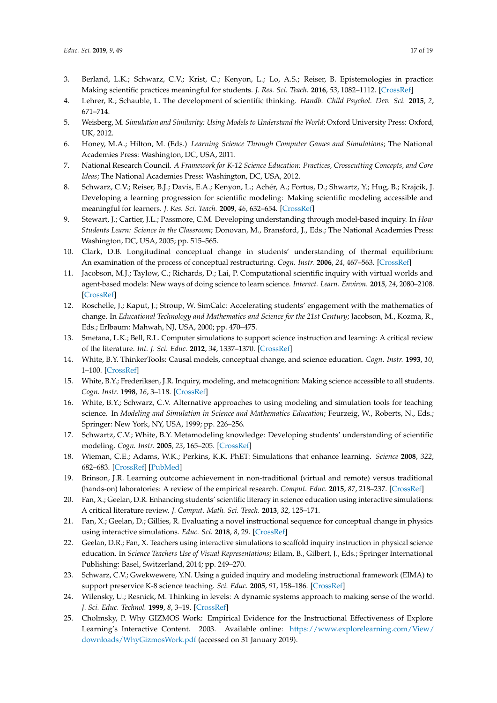- <span id="page-17-0"></span>3. Berland, L.K.; Schwarz, C.V.; Krist, C.; Kenyon, L.; Lo, A.S.; Reiser, B. Epistemologies in practice: Making scientific practices meaningful for students. *J. Res. Sci. Teach.* **2016**, *53*, 1082–1112. [\[CrossRef\]](http://dx.doi.org/10.1002/tea.21257)
- <span id="page-17-1"></span>4. Lehrer, R.; Schauble, L. The development of scientific thinking. *Handb. Child Psychol. Dev. Sci.* **2015**, *2*, 671–714.
- <span id="page-17-2"></span>5. Weisberg, M. *Simulation and Similarity: Using Models to Understand the World*; Oxford University Press: Oxford, UK, 2012.
- <span id="page-17-3"></span>6. Honey, M.A.; Hilton, M. (Eds.) *Learning Science Through Computer Games and Simulations*; The National Academies Press: Washington, DC, USA, 2011.
- <span id="page-17-4"></span>7. National Research Council. *A Framework for K-12 Science Education: Practices, Crosscutting Concepts, and Core Ideas*; The National Academies Press: Washington, DC, USA, 2012.
- <span id="page-17-18"></span>8. Schwarz, C.V.; Reiser, B.J.; Davis, E.A.; Kenyon, L.; Achér, A.; Fortus, D.; Shwartz, Y.; Hug, B.; Krajcik, J. Developing a learning progression for scientific modeling: Making scientific modeling accessible and meaningful for learners. *J. Res. Sci. Teach.* **2009**, *46*, 632–654. [\[CrossRef\]](http://dx.doi.org/10.1002/tea.20311)
- <span id="page-17-5"></span>9. Stewart, J.; Cartier, J.L.; Passmore, C.M. Developing understanding through model-based inquiry. In *How Students Learn: Science in the Classroom*; Donovan, M., Bransford, J., Eds.; The National Academies Press: Washington, DC, USA, 2005; pp. 515–565.
- <span id="page-17-6"></span>10. Clark, D.B. Longitudinal conceptual change in students' understanding of thermal equilibrium: An examination of the process of conceptual restructuring. *Cogn. Instr.* **2006**, *24*, 467–563. [\[CrossRef\]](http://dx.doi.org/10.1207/s1532690xci2404_3)
- 11. Jacobson, M.J.; Taylow, C.; Richards, D.; Lai, P. Computational scientific inquiry with virtual worlds and agent-based models: New ways of doing science to learn science. *Interact. Learn. Environ.* **2015**, *24*, 2080–2108. [\[CrossRef\]](http://dx.doi.org/10.1080/10494820.2015.1079723)
- 12. Roschelle, J.; Kaput, J.; Stroup, W. SimCalc: Accelerating students' engagement with the mathematics of change. In *Educational Technology and Mathematics and Science for the 21st Century*; Jacobson, M., Kozma, R., Eds.; Erlbaum: Mahwah, NJ, USA, 2000; pp. 470–475.
- 13. Smetana, L.K.; Bell, R.L. Computer simulations to support science instruction and learning: A critical review of the literature. *Int. J. Sci. Educ.* **2012**, *34*, 1337–1370. [\[CrossRef\]](http://dx.doi.org/10.1080/09500693.2011.605182)
- <span id="page-17-19"></span>14. White, B.Y. ThinkerTools: Causal models, conceptual change, and science education. *Cogn. Instr.* **1993**, *10*, 1–100. [\[CrossRef\]](http://dx.doi.org/10.1207/s1532690xci1001_1)
- <span id="page-17-8"></span>15. White, B.Y.; Frederiksen, J.R. Inquiry, modeling, and metacognition: Making science accessible to all students. *Cogn. Instr.* **1998**, *16*, 3–118. [\[CrossRef\]](http://dx.doi.org/10.1207/s1532690xci1601_2)
- <span id="page-17-7"></span>16. White, B.Y.; Schwarz, C.V. Alternative approaches to using modeling and simulation tools for teaching science. In *Modeling and Simulation in Science and Mathematics Education*; Feurzeig, W., Roberts, N., Eds.; Springer: New York, NY, USA, 1999; pp. 226–256.
- <span id="page-17-9"></span>17. Schwartz, C.V.; White, B.Y. Metamodeling knowledge: Developing students' understanding of scientific modeling. *Cogn. Instr.* **2005**, *23*, 165–205. [\[CrossRef\]](http://dx.doi.org/10.1207/s1532690xci2302_1)
- <span id="page-17-10"></span>18. Wieman, C.E.; Adams, W.K.; Perkins, K.K. PhET: Simulations that enhance learning. *Science* **2008**, *322*, 682–683. [\[CrossRef\]](http://dx.doi.org/10.1126/science.1161948) [\[PubMed\]](http://www.ncbi.nlm.nih.gov/pubmed/18974334)
- <span id="page-17-11"></span>19. Brinson, J.R. Learning outcome achievement in non-traditional (virtual and remote) versus traditional (hands-on) laboratories: A review of the empirical research. *Comput. Educ.* **2015**, *87*, 218–237. [\[CrossRef\]](http://dx.doi.org/10.1016/j.compedu.2015.07.003)
- <span id="page-17-12"></span>20. Fan, X.; Geelan, D.R. Enhancing students' scientific literacy in science education using interactive simulations: A critical literature review. *J. Comput. Math. Sci. Teach.* **2013**, *32*, 125–171.
- <span id="page-17-13"></span>21. Fan, X.; Geelan, D.; Gillies, R. Evaluating a novel instructional sequence for conceptual change in physics using interactive simulations. *Educ. Sci.* **2018**, *8*, 29. [\[CrossRef\]](http://dx.doi.org/10.3390/educsci8010029)
- <span id="page-17-14"></span>22. Geelan, D.R.; Fan, X. Teachers using interactive simulations to scaffold inquiry instruction in physical science education. In *Science Teachers Use of Visual Representations*; Eilam, B., Gilbert, J., Eds.; Springer International Publishing: Basel, Switzerland, 2014; pp. 249–270.
- <span id="page-17-15"></span>23. Schwarz, C.V.; Gwekwewere, Y.N. Using a guided inquiry and modeling instructional framework (EIMA) to support preservice K-8 science teaching. *Sci. Educ.* **2005**, *91*, 158–186. [\[CrossRef\]](http://dx.doi.org/10.1002/sce.20177)
- <span id="page-17-16"></span>24. Wilensky, U.; Resnick, M. Thinking in levels: A dynamic systems approach to making sense of the world. *J. Sci. Educ. Technol.* **1999**, *8*, 3–19. [\[CrossRef\]](http://dx.doi.org/10.1023/A:1009421303064)
- <span id="page-17-17"></span>25. Cholmsky, P. Why GIZMOS Work: Empirical Evidence for the Instructional Effectiveness of Explore Learning's Interactive Content. 2003. Available online: [https://www.explorelearning.com/View/](https://www.explorelearning.com/View/downloads/WhyGizmosWork.pdf) [downloads/WhyGizmosWork.pdf](https://www.explorelearning.com/View/downloads/WhyGizmosWork.pdf) (accessed on 31 January 2019).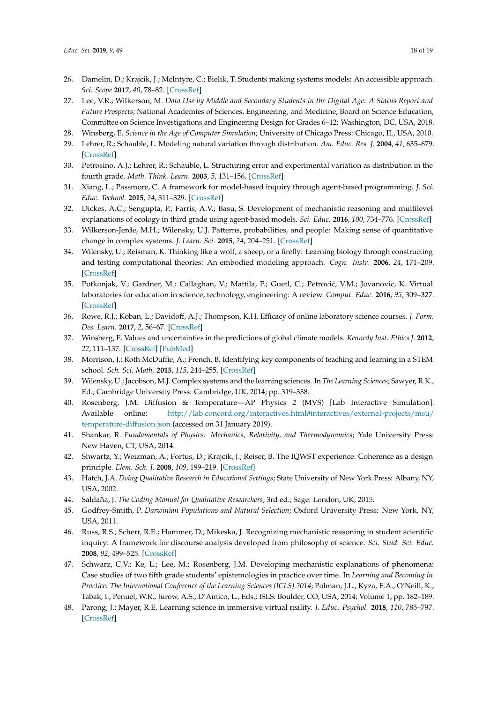- <span id="page-18-0"></span>26. Damelin, D.; Krajcik, J.; McIntyre, C.; Bielik, T. Students making systems models: An accessible approach. *Sci. Scope* **2017**, *40*, 78–82. [\[CrossRef\]](http://dx.doi.org/10.2505/4/ss17_040_05_78)
- <span id="page-18-1"></span>27. Lee, V.R.; Wilkerson, M. *Data Use by Middle and Secondary Students in the Digital Age: A Status Report and Future Prospects*; National Academies of Sciences, Engineering, and Medicine, Board on Science Education, Committee on Science Investigations and Engineering Design for Grades 6–12: Washington, DC, USA, 2018.
- <span id="page-18-2"></span>28. Winsberg, E. *Science in the Age of Computer Simulation*; University of Chicago Press: Chicago, IL, USA, 2010.
- <span id="page-18-3"></span>29. Lehrer, R.; Schauble, L. Modeling natural variation through distribution. *Am. Educ. Res. J.* **2004**, *41*, 635–679. [\[CrossRef\]](http://dx.doi.org/10.3102/00028312041003635)
- <span id="page-18-4"></span>30. Petrosino, A.J.; Lehrer, R.; Schauble, L. Structuring error and experimental variation as distribution in the fourth grade. *Math. Think. Learn.* **2003**, *5*, 131–156. [\[CrossRef\]](http://dx.doi.org/10.1080/10986065.2003.9679997)
- <span id="page-18-5"></span>31. Xiang, L.; Passmore, C. A framework for model-based inquiry through agent-based programming. *J. Sci. Educ. Technol.* **2015**, *24*, 311–329. [\[CrossRef\]](http://dx.doi.org/10.1007/s10956-014-9534-4)
- 32. Dickes, A.C.; Sengupta, P.; Farris, A.V.; Basu, S. Development of mechanistic reasoning and multilevel explanations of ecology in third grade using agent-based models. *Sci. Educ.* **2016**, *100*, 734–776. [\[CrossRef\]](http://dx.doi.org/10.1002/sce.21217)
- <span id="page-18-6"></span>33. Wilkerson-Jerde, M.H.; Wilensky, U.J. Patterns, probabilities, and people: Making sense of quantitative change in complex systems. *J. Learn. Sci.* **2015**, *24*, 204–251. [\[CrossRef\]](http://dx.doi.org/10.1080/10508406.2014.976647)
- <span id="page-18-7"></span>34. Wilensky, U.; Reisman, K. Thinking like a wolf, a sheep, or a firefly: Learning biology through constructing and testing computational theories: An embodied modeling approach. *Cogn. Instr.* **2006**, *24*, 171–209. [\[CrossRef\]](http://dx.doi.org/10.1207/s1532690xci2402_1)
- <span id="page-18-8"></span>35. Potkonjak, V.; Gardner, M.; Callaghan, V.; Mattila, P.; Guetl, C.; Petrović, V.M.; Jovanovic, K. Virtual laboratories for education in science, technology, engineering: A review. *Comput. Educ.* **2016**, *95*, 309–327. [\[CrossRef\]](http://dx.doi.org/10.1016/j.compedu.2016.02.002)
- <span id="page-18-9"></span>36. Rowe, R.J.; Koban, L.; Davidoff, A.J.; Thompson, K.H. Efficacy of online laboratory science courses. *J. Form. Des. Learn.* **2017**, *2*, 56–67. [\[CrossRef\]](http://dx.doi.org/10.1007/s41686-017-0014-0)
- <span id="page-18-10"></span>37. Winsberg, E. Values and uncertainties in the predictions of global climate models. *Kennedy Inst. Ethics J.* **2012**, *22*, 111–137. [\[CrossRef\]](http://dx.doi.org/10.1353/ken.2012.0008) [\[PubMed\]](http://www.ncbi.nlm.nih.gov/pubmed/23002580)
- <span id="page-18-11"></span>38. Morrison, J.; Roth McDuffie, A.; French, B. Identifying key components of teaching and learning in a STEM school. *Sch. Sci. Math.* **2015**, *115*, 244–255. [\[CrossRef\]](http://dx.doi.org/10.1111/ssm.12126)
- <span id="page-18-12"></span>39. Wilensky, U.; Jacobson, M.J. Complex systems and the learning sciences. In *The Learning Sciences*; Sawyer, R.K., Ed.; Cambridge University Press: Cambridge, UK, 2014; pp. 319–338.
- <span id="page-18-13"></span>40. Rosenberg, J.M. Diffusion & Temperature—AP Physics 2 (MVS) [Lab Interactive Simulation]. Available online: [http://lab.concord.org/interactives.html#interactives/external-projects/msu/](http://lab.concord.org/interactives.html#interactives/external-projects/msu/temperature-diffusion.json) [temperature-diffusion.json](http://lab.concord.org/interactives.html#interactives/external-projects/msu/temperature-diffusion.json) (accessed on 31 January 2019).
- <span id="page-18-14"></span>41. Shankar, R. *Fundamentals of Physics: Mechanics, Relativity, and Thermodynamics*; Yale University Press: New Haven, CT, USA, 2014.
- <span id="page-18-15"></span>42. Shwartz, Y.; Weizman, A.; Fortus, D.; Krajcik, J.; Reiser, B. The IQWST experience: Coherence as a design principle. *Elem. Sch. J.* **2008**, *109*, 199–219. [\[CrossRef\]](http://dx.doi.org/10.1086/590526)
- <span id="page-18-16"></span>43. Hatch, J.A. *Doing Qualitative Research in Educational Settings*; State University of New York Press: Albany, NY, USA, 2002.
- <span id="page-18-17"></span>44. Saldaña, J. *The Coding Manual for Qualitative Researchers*, 3rd ed.; Sage: London, UK, 2015.
- <span id="page-18-18"></span>45. Godfrey-Smith, P. *Darwinian Populations and Natural Selection*; Oxford University Press: New York, NY, USA, 2011.
- <span id="page-18-19"></span>46. Russ, R.S.; Scherr, R.E.; Hammer, D.; Mikeska, J. Recognizing mechanistic reasoning in student scientific inquiry: A framework for discourse analysis developed from philosophy of science. *Sci. Stud. Sci. Educ.* **2008**, *92*, 499–525. [\[CrossRef\]](http://dx.doi.org/10.1002/sce.20264)
- <span id="page-18-20"></span>47. Schwarz, C.V.; Ke, L.; Lee, M.; Rosenberg, J.M. Developing mechanistic explanations of phenomena: Case studies of two fifth grade students' epistemologies in practice over time. In *Learning and Becoming in Practice: The International Conference of the Learning Sciences (ICLS) 2014*; Polman, J.L., Kyza, E.A., O'Neill, K., Tabak, I., Penuel, W.R., Jurow, A.S., D'Amico, L., Eds.; ISLS: Boulder, CO, USA, 2014; Volume 1, pp. 182–189.
- <span id="page-18-21"></span>48. Parong, J.; Mayer, R.E. Learning science in immersive virtual reality. *J. Educ. Psychol.* **2018**, *110*, 785–797. [\[CrossRef\]](http://dx.doi.org/10.1037/edu0000241)